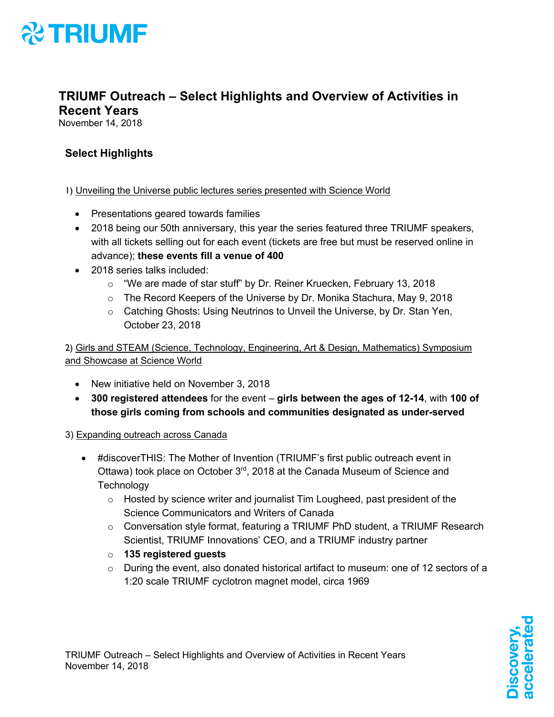

### **TRIUMF Outreach – Select Highlights and Overview of Activities in Recent Years**

November 14, 2018

### **Select Highlights**

### 1) Unveiling the Universe public lectures series presented with Science World

- Presentations geared towards families
- 2018 being our 50th anniversary, this year the series featured three TRIUMF speakers, with all tickets selling out for each event (tickets are free but must be reserved online in advance); **these events fill a venue of 400**
- 2018 series talks included:
	- o "We are made of star stuff" by Dr. Reiner Kruecken, February 13, 2018
	- $\circ$  The Record Keepers of the Universe by Dr. Monika Stachura, May 9, 2018
	- o Catching Ghosts: Using Neutrinos to Unveil the Universe, by Dr. Stan Yen, October 23, 2018

2) Girls and STEAM (Science, Technology, Engineering, Art & Design, Mathematics) Symposium and Showcase at Science World

- New initiative held on November 3, 2018
- **300 registered attendees** for the event **girls between the ages of 12-14**, with **100 of those girls coming from schools and communities designated as under-served**

3) Expanding outreach across Canada

- #discoverTHIS: The Mother of Invention (TRIUMF's first public outreach event in Ottawa) took place on October 3<sup>rd</sup>, 2018 at the Canada Museum of Science and **Technology** 
	- $\circ$  Hosted by science writer and journalist Tim Lougheed, past president of the Science Communicators and Writers of Canada
	- $\circ$  Conversation style format, featuring a TRIUMF PhD student, a TRIUMF Research Scientist, TRIUMF Innovations' CEO, and a TRIUMF industry partner
	- o **135 registered guests**
	- $\circ$  During the event, also donated historical artifact to museum: one of 12 sectors of a 1:20 scale TRIUMF cyclotron magnet model, circa 1969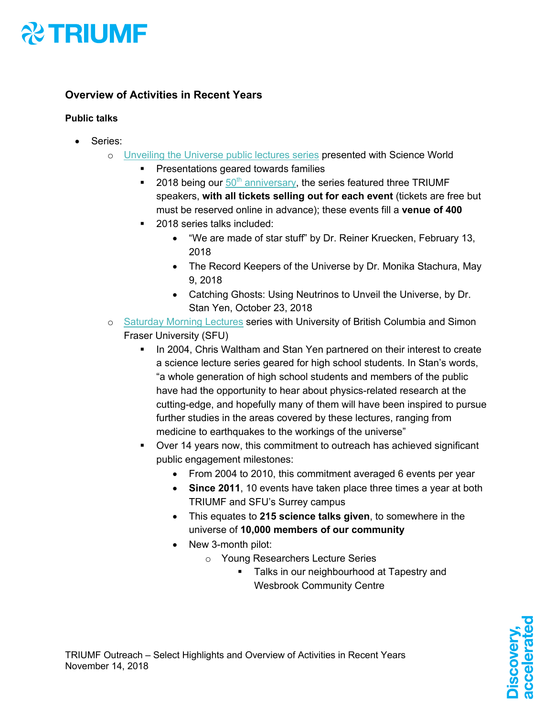

### **Overview of Activities in Recent Years**

### **Public talks**

- Series:
	- o Unveiling the Universe public lectures series presented with Science World
		- **•** Presentations geared towards families
		- **2018 being our 50<sup>th</sup> anniversary, the series featured three TRIUMF** speakers, **with all tickets selling out for each event** (tickets are free but must be reserved online in advance); these events fill a **venue of 400**
		- 2018 series talks included:
			- "We are made of star stuff" by Dr. Reiner Kruecken, February 13, 2018
			- The Record Keepers of the Universe by Dr. Monika Stachura, May 9, 2018
			- Catching Ghosts: Using Neutrinos to Unveil the Universe, by Dr. Stan Yen, October 23, 2018
	- o Saturday Morning Lectures series with University of British Columbia and Simon Fraser University (SFU)
		- In 2004, Chris Waltham and Stan Yen partnered on their interest to create a science lecture series geared for high school students. In Stan's words, "a whole generation of high school students and members of the public have had the opportunity to hear about physics-related research at the cutting-edge, and hopefully many of them will have been inspired to pursue further studies in the areas covered by these lectures, ranging from medicine to earthquakes to the workings of the universe"
		- § Over 14 years now, this commitment to outreach has achieved significant public engagement milestones:
			- From 2004 to 2010, this commitment averaged 6 events per year
			- **Since 2011**, 10 events have taken place three times a year at both TRIUMF and SFU's Surrey campus
			- This equates to **215 science talks given**, to somewhere in the universe of **10,000 members of our community**
			- New 3-month pilot:
				- o Young Researchers Lecture Series
					- Talks in our neighbourhood at Tapestry and Wesbrook Community Centre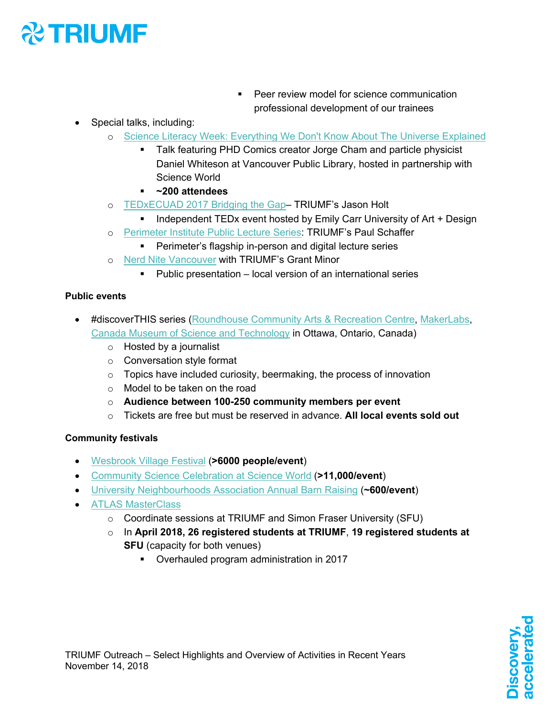## **& TRIUMF**

- Peer review model for science communication professional development of our trainees
- Special talks, including:
	- o Science Literacy Week: Everything We Don't Know About The Universe Explained
		- Talk featuring PHD Comics creator Jorge Cham and particle physicist Daniel Whiteson at Vancouver Public Library, hosted in partnership with Science World
		- § **~200 attendees**
	- o TEDxECUAD 2017 Bridging the Gap– TRIUMF's Jason Holt
		- Independent TEDx event hosted by Emily Carr University of Art + Design
	- o Perimeter Institute Public Lecture Series: TRIUMF's Paul Schaffer
		- Perimeter's flagship in-person and digital lecture series
	- o Nerd Nite Vancouver with TRIUMF's Grant Minor
		- § Public presentation local version of an international series

### **Public events**

- #discoverTHIS series (Roundhouse Community Arts & Recreation Centre, MakerLabs, Canada Museum of Science and Technology in Ottawa, Ontario, Canada)
	- o Hosted by a journalist
	- o Conversation style format
	- o Topics have included curiosity, beermaking, the process of innovation
	- o Model to be taken on the road
	- o **Audience between 100-250 community members per event**
	- o Tickets are free but must be reserved in advance. **All local events sold out**

#### **Community festivals**

- Wesbrook Village Festival (**>6000 people/event**)
- Community Science Celebration at Science World (**>11,000/event**)
- University Neighbourhoods Association Annual Barn Raising (**~600/event**)
- ATLAS MasterClass
	- o Coordinate sessions at TRIUMF and Simon Fraser University (SFU)
	- o In **April 2018, 26 registered students at TRIUMF**, **19 registered students at SFU** (capacity for both venues)
		- § Overhauled program administration in 2017

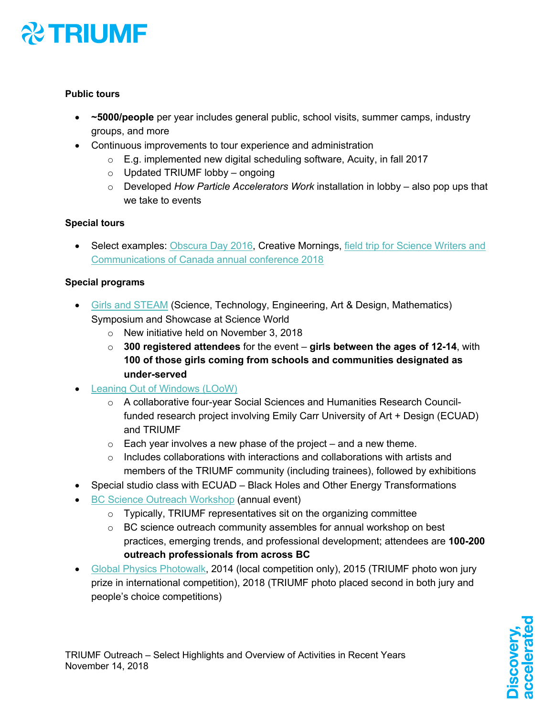## **X TRIUMF**

### **Public tours**

- **~5000/people** per year includes general public, school visits, summer camps, industry groups, and more
- Continuous improvements to tour experience and administration
	- o E.g. implemented new digital scheduling software, Acuity, in fall 2017
	- $\circ$  Updated TRIUMF lobby ongoing
	- o Developed *How Particle Accelerators Work* installation in lobby also pop ups that we take to events

### **Special tours**

• Select examples: Obscura Day 2016, Creative Mornings, field trip for Science Writers and Communications of Canada annual conference 2018

### **Special programs**

- Girls and STEAM (Science, Technology, Engineering, Art & Design, Mathematics) Symposium and Showcase at Science World
	- o New initiative held on November 3, 2018
	- o **300 registered attendees** for the event **girls between the ages of 12-14**, with **100 of those girls coming from schools and communities designated as under-served**
- Leaning Out of Windows (LOoW)
	- o A collaborative four-year Social Sciences and Humanities Research Councilfunded research project involving Emily Carr University of Art + Design (ECUAD) and TRIUMF
	- $\circ$  Each year involves a new phase of the project and a new theme.
	- $\circ$  Includes collaborations with interactions and collaborations with artists and members of the TRIUMF community (including trainees), followed by exhibitions
- Special studio class with ECUAD Black Holes and Other Energy Transformations
- BC Science Outreach Workshop (annual event)
	- o Typically, TRIUMF representatives sit on the organizing committee
	- o BC science outreach community assembles for annual workshop on best practices, emerging trends, and professional development; attendees are **100-200 outreach professionals from across BC**
- Global Physics Photowalk, 2014 (local competition only), 2015 (TRIUMF photo won jury prize in international competition), 2018 (TRIUMF photo placed second in both jury and people's choice competitions)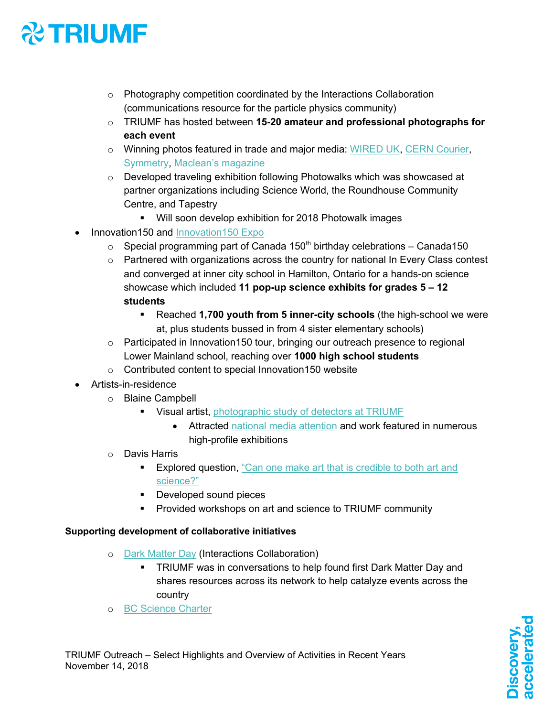# **XX TRIUMF**

- o Photography competition coordinated by the Interactions Collaboration (communications resource for the particle physics community)
- o TRIUMF has hosted between **15-20 amateur and professional photographs for each event**
- o Winning photos featured in trade and major media: WIRED UK, CERN Courier, Symmetry, Maclean's magazine
- o Developed traveling exhibition following Photowalks which was showcased at partner organizations including Science World, the Roundhouse Community Centre, and Tapestry
	- § Will soon develop exhibition for 2018 Photowalk images
- Innovation150 and Innovation150 Expo
	- $\circ$  Special programming part of Canada 150<sup>th</sup> birthday celebrations Canada150
	- $\circ$  Partnered with organizations across the country for national In Every Class contest and converged at inner city school in Hamilton, Ontario for a hands-on science showcase which included **11 pop-up science exhibits for grades 5 – 12 students**
		- § Reached **1,700 youth from 5 inner-city schools** (the high-school we were at, plus students bussed in from 4 sister elementary schools)
	- $\circ$  Participated in Innovation150 tour, bringing our outreach presence to regional Lower Mainland school, reaching over **1000 high school students**
	- o Contributed content to special Innovation150 website
- Artists-in-residence
	- o Blaine Campbell
		- **Visual artist, photographic study of detectors at TRIUMF** 
			- Attracted national media attention and work featured in numerous high-profile exhibitions
	- o Davis Harris
		- **Explored question, "Can one make art that is credible to both art and** science?"
		- Developed sound pieces
		- Provided workshops on art and science to TRIUMF community

#### **Supporting development of collaborative initiatives**

- o Dark Matter Day (Interactions Collaboration)
	- TRIUMF was in conversations to help found first Dark Matter Day and shares resources across its network to help catalyze events across the country
- o BC Science Charter